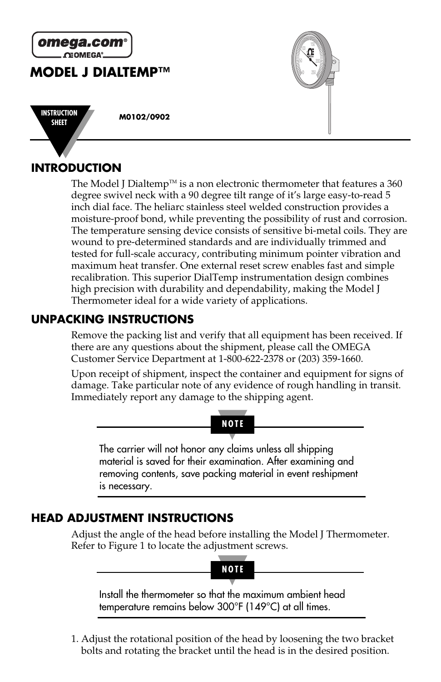

# **INTRODUCTION**

The Model J Dialtemp<sup> $M$ </sup> is a non electronic thermometer that features a 360 degree swivel neck with a 90 degree tilt range of it's large easy-to-read 5 inch dial face. The heliarc stainless steel welded construction provides a moisture-proof bond, while preventing the possibility of rust and corrosion. The temperature sensing device consists of sensitive bi-metal coils. They are wound to pre-determined standards and are individually trimmed and tested for full-scale accuracy, contributing minimum pointer vibration and maximum heat transfer. One external reset screw enables fast and simple recalibration. This superior DialTemp instrumentation design combines high precision with durability and dependability, making the Model J Thermometer ideal for a wide variety of applications.

## **UNPACKING INSTRUCTIONS**

Remove the packing list and verify that all equipment has been received. If there are any questions about the shipment, please call the OMEGA Customer Service Department at 1-800-622-2378 or (203) 359-1660.

Upon receipt of shipment, inspect the container and equipment for signs of damage. Take particular note of any evidence of rough handling in transit. Immediately report any damage to the shipping agent.



## **HEAD ADJUSTMENT INSTRUCTIONS**

Adjust the angle of the head before installing the Model J Thermometer. Refer to Figure 1 to locate the adjustment screws.



Install the thermometer so that the maximum ambient head temperature remains below 300°F (149°C) at all times.

1. Adjust the rotational position of the head by loosening the two bracket bolts and rotating the bracket until the head is in the desired position.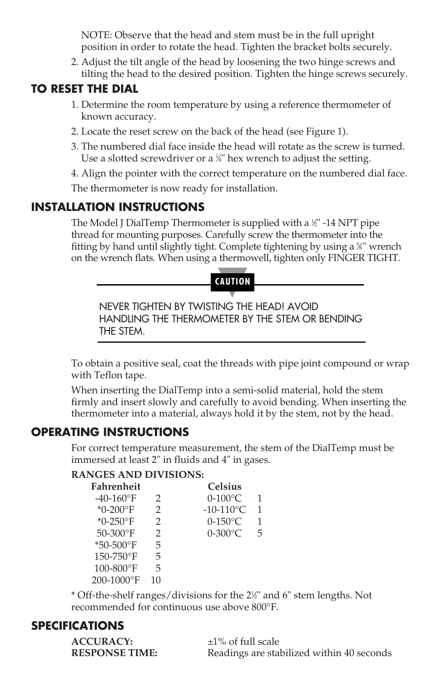NOTE: Observe that the head and stem must be in the full upright position in order to rotate the head. Tighten the bracket bolts securely.

2. Adjust the tilt angle of the head by loosening the two hinge screws and tilting the head to the desired position. Tighten the hinge screws securely.

## **TO RESET THE DIAL**

- 1. Determine the room temperature by using a reference thermometer of known accuracy.
- 2. Locate the reset screw on the back of the head (see Figure 1).
- 3. The numbered dial face inside the head will rotate as the screw is turned. Use a slotted screwdriver or a  $\frac{1}{4}$ " hex wrench to adjust the setting.

4. Align the pointer with the correct temperature on the numbered dial face.

The thermometer is now ready for installation.

## **INSTALLATION INSTRUCTIONS**

The Model J DialTemp Thermometer is supplied with a  $\mathbb {X}$ " -14 NPT pipe thread for mounting purposes. Carefully screw the thermometer into the fitting by hand until slightly tight. Complete tightening by using a %" wrench on the wrench flats. When using a thermowell, tighten only FINGER TIGHT.

#### **CAUTION**

NEVER TIGHTEN BY TWISTING THE HEAD! AVOID HANDLING THE THERMOMETER BY THE STEM OR BENDING THE STEM.

To obtain a positive seal, coat the threads with pipe joint compound or wrap with Teflon tape.

When inserting the DialTemp into a semi-solid material, hold the stem firmly and insert slowly and carefully to avoid bending. When inserting the thermometer into a material, always hold it by the stem, not by the head.

#### **OPERATING INSTRUCTIONS**

For correct temperature measurement, the stem of the DialTemp must be immersed at least 2" in fluids and 4" in gases.

#### **RANGES AND DIVISIONS:**

| Fahrenheit                |               | <b>Celsius</b> |   |
|---------------------------|---------------|----------------|---|
| $-40-160$ <sup>o</sup> F  | 2             | $0-100$ °C     |   |
| * $0 - 200$ °F            | $\mathcal{L}$ | $-10-110$ °C   | 1 |
| * $0 - 250$ °F            | $\mathcal{L}$ | $0-150$ °C     | 1 |
| $50 - 300$ <sup>o</sup> F | $\mathcal{P}$ | 0-300°C        | 5 |
| $*50 - 500$ °F            | 5             |                |   |
| 150-750°F                 | 5             |                |   |
| 100-800°F                 | 5             |                |   |
| 200-1000°F                | 10            |                |   |
|                           |               |                |   |

\* Off-the-shelf ranges/divisions for the 21 ⁄2" and 6" stem lengths. Not recommended for continuous use above 800°F.

#### **SPECIFICATIONS**

**ACCURACY:** ±1% of full scale

**RESPONSE TIME:** Readings are stabilized within 40 seconds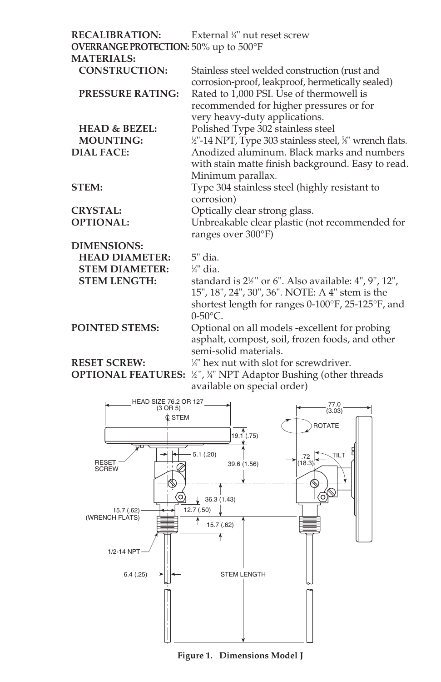| <b>RECALIBRATION:</b><br><b>OVERRANGE PROTECTION: 50% up to 500°F</b> | External 1/4" nut reset screw                                       |  |  |  |  |
|-----------------------------------------------------------------------|---------------------------------------------------------------------|--|--|--|--|
| <b>MATERIALS:</b>                                                     |                                                                     |  |  |  |  |
| <b>CONSTRUCTION:</b>                                                  | Stainless steel welded construction (rust and                       |  |  |  |  |
|                                                                       | corrosion-proof, leakproof, hermetically sealed)                    |  |  |  |  |
| <b>PRESSURE RATING:</b>                                               | Rated to 1,000 PSI. Use of thermowell is                            |  |  |  |  |
|                                                                       | recommended for higher pressures or for                             |  |  |  |  |
|                                                                       | very heavy-duty applications.                                       |  |  |  |  |
| <b>HEAD &amp; BEZEL:</b>                                              | Polished Type 302 stainless steel                                   |  |  |  |  |
| <b>MOUNTING:</b>                                                      | 1/2"-14 NPT, Type 303 stainless steel, 5%" wrench flats.            |  |  |  |  |
| <b>DIAL FACE:</b>                                                     | Anodized aluminum. Black marks and numbers                          |  |  |  |  |
|                                                                       | with stain matte finish background. Easy to read.                   |  |  |  |  |
|                                                                       | Minimum parallax.                                                   |  |  |  |  |
| <b>STEM:</b>                                                          | Type 304 stainless steel (highly resistant to                       |  |  |  |  |
|                                                                       | corrosion)                                                          |  |  |  |  |
| <b>CRYSTAL:</b>                                                       | Optically clear strong glass.                                       |  |  |  |  |
| <b>OPTIONAL:</b>                                                      | Unbreakable clear plastic (not recommended for                      |  |  |  |  |
|                                                                       | ranges over 300°F)                                                  |  |  |  |  |
| DIMENSIONS:                                                           |                                                                     |  |  |  |  |
| <b>HEAD DIAMETER:</b>                                                 | $5"$ dia.                                                           |  |  |  |  |
| <b>STEM DIAMETER:</b>                                                 | $\frac{1}{4}$ " dia.                                                |  |  |  |  |
| <b>STEM LENGTH:</b>                                                   | standard is 2½" or 6". Also available: 4", 9", 12",                 |  |  |  |  |
|                                                                       | 15", 18", 24", 30", 36". NOTE: A 4" stem is the                     |  |  |  |  |
|                                                                       | shortest length for ranges 0-100°F, 25-125°F, and                   |  |  |  |  |
|                                                                       | $0 - 50^{\circ}$ C.                                                 |  |  |  |  |
| <b>POINTED STEMS:</b>                                                 | Optional on all models -excellent for probing                       |  |  |  |  |
|                                                                       | asphalt, compost, soil, frozen foods, and other                     |  |  |  |  |
|                                                                       | semi-solid materials.                                               |  |  |  |  |
| <b>RESET SCREW:</b>                                                   | 1/4" hex nut with slot for screwdriver.                             |  |  |  |  |
|                                                                       | <b>OPTIONAL FEATURES:</b> ½", ¾" NPT Adaptor Bushing (other threads |  |  |  |  |
|                                                                       | available on special order)                                         |  |  |  |  |



**Figure 1. Dimensions Model J**